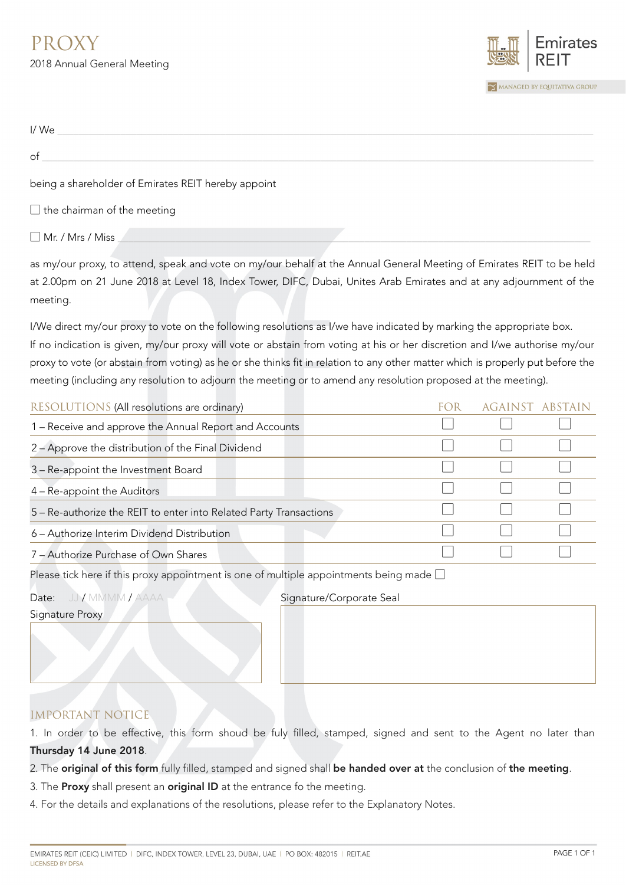

| I/We                                                |  |
|-----------------------------------------------------|--|
| of                                                  |  |
| being a shareholder of Emirates REIT hereby appoint |  |
| $\Box$ the chairman of the meeting                  |  |

 $\Box$  Mr. / Mrs / Miss

as my/our proxy, to attend, speak and vote on my/our behalf at the Annual General Meeting of Emirates REIT to be held at 2.00pm on 21 June 2018 at Level 18, Index Tower, DIFC, Dubai, Unites Arab Emirates and at any adjournment of the meeting.

I/We direct my/our proxy to vote on the following resolutions as I/we have indicated by marking the appropriate box. If no indication is given, my/our proxy will vote or abstain from voting at his or her discretion and I/we authorise my/our proxy to vote (or abstain from voting) as he or she thinks fit in relation to any other matter which is properly put before the meeting (including any resolution to adjourn the meeting or to amend any resolution proposed at the meeting).

| RESOLUTIONS (All resolutions are ordinary)                         | FC ER | <b>AGAINST ABSTAIN</b> |  |
|--------------------------------------------------------------------|-------|------------------------|--|
| 1 - Receive and approve the Annual Report and Accounts             |       |                        |  |
| 2 - Approve the distribution of the Final Dividend                 |       |                        |  |
| 3 - Re-appoint the Investment Board                                |       |                        |  |
| 4 – Re-appoint the Auditors                                        |       |                        |  |
| 5 - Re-authorize the REIT to enter into Related Party Transactions |       |                        |  |
| 6 – Authorize Interim Dividend Distribution                        |       |                        |  |
| 7 - Authorize Purchase of Own Shares                               |       |                        |  |

Please tick here if this proxy appointment is one of multiple appointments being made  $\square$ 

Signature Proxy

Date: JJ / MMMM / AAAA Signature/Corporate Seal

IMPORTANT NOTICE

1. In order to be effective, this form shoud be fuly filled, stamped, signed and sent to the Agent no later than Thursday 14 June 2018.

- 2. The original of this form fully filled, stamped and signed shall be handed over at the conclusion of the meeting.
- 3. The Proxy shall present an original ID at the entrance fo the meeting.
- 4. For the details and explanations of the resolutions, please refer to the Explanatory Notes.